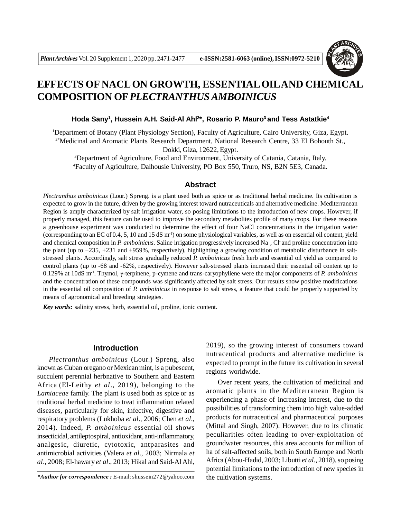

# **EFFECTS OF NACL ON GROWTH, ESSENTIAL OILAND CHEMICAL COMPOSITION OF***PLECTRANTHUS AMBOINICUS*

## **Hoda Sany<sup>1</sup> , Hussein A.H. Said-Al Ahl<sup>2</sup> \*, Rosario P. Mauro<sup>3</sup>and Tess Astatkie<sup>4</sup>**

<sup>1</sup>Department of Botany (Plant Physiology Section), Faculty of Agriculture, Cairo University, Giza, Egypt. 2\*Medicinal and Aromatic Plants Research Department, National Research Centre, 33 El Bohouth St., Dokki, Giza, 12622, Egypt.

<sup>3</sup>Department of Agriculture, Food and Environment, University of Catania, Catania, Italy. <sup>4</sup>Faculty of Agriculture, Dalhousie University, PO Box 550, Truro, NS, B2N 5E3, Canada.

# **Abstract**

*Plectranthus amboinicus* (Lour.) Spreng. is a plant used both as spice or as traditional herbal medicine. Its cultivation is expected to grow in the future, driven by the growing interest toward nutraceuticals and alternative medicine. Mediterranean Region is amply characterized by salt irrigation water, so posing limitations to the introduction of new crops. However, if properly managed, this feature can be used to improve the secondary metabolites profile of many crops. For these reasons a greenhouse experiment was conducted to determine the effect of four NaCl concentrations in the irrigation water (corresponding to an EC of 0.4, 5, 10 and 15 dS  $m^{-1}$ ) on some physiological variables, as well as on essential oil content, yield and chemical composition in *P. amboinicus*. Saline irrigation progressively increased Na<sup>+</sup>, Cl and proline concentration into the plant (up to +235, +231 and +959%, respectively), highlighting a growing condition of metabolic disturbance in saltstressed plants. Accordingly, salt stress gradually reduced *P. amboinicus* fresh herb and essential oil yield as compared to control plants (up to -68 and -62%, respectively). However salt-stressed plants increased their essential oil content up to 0.129% at 10dS m<sup>-1</sup>. Thymol, γ-terpinene, p-cymene and trans-caryophyllene were the major components of *P. amboinicus* and the concentration of these compounds was significantly affected by salt stress. Our results show positive modifications in the essential oil composition of *P. amboinicus* in response to salt stress, a feature that could be properly supported by means of agronomical and breeding strategies.

*Key words:* salinity stress, herb, essential oil, proline, ionic content.

## **Introduction**

*Plectranthus amboinicus* (Lour.) Spreng, also known as Cuban oregano or Mexican mint, is a pubescent, succulent perennial herbnative to Southern and Eastern Africa (El-Leithy *et al*., 2019), belonging to the *Lamiaceae* family. The plant is used both as spice or as traditional herbal medicine to treat inflammation related diseases, particularly for skin, infective, digestive and respiratory problems (Lukhoba *et al*., 2006; Chen *et al*., 2014). Indeed, *P. amboinicus* essential oil shows insecticidal, antileptospiral, antioxidant, anti-inflammatory, analgesic, diuretic, cytotoxic, antparasites and antimicrobial activities (Valera *et al*., 2003; Nirmala *et al*., 2008; El-hawary *et al*., 2013; Hikal and Said-Al Ahl,

2019), so the growing interest of consumers toward nutraceutical products and alternative medicine is expected to prompt in the future its cultivation in several regions worldwide.

Over recent years, the cultivation of medicinal and aromatic plants in the Mediterranean Region is experiencing a phase of increasing interest, due to the possibilities of transforming them into high value-added products for nutraceutical and pharmaceutical purposes (Mittal and Singh, 2007). However, due to its climatic peculiarities often leading to over-exploitation of groundwater resources, this area accounts for million of ha of salt-affected soils, both in South Europe and North Africa (Abou-Hadid, 2003; Libutti *et al*., 2018), so posing potential limitations to the introduction of new species in the cultivation systems.

*<sup>\*</sup>Author for correspondence :* E-mail: shussein272@yahoo.com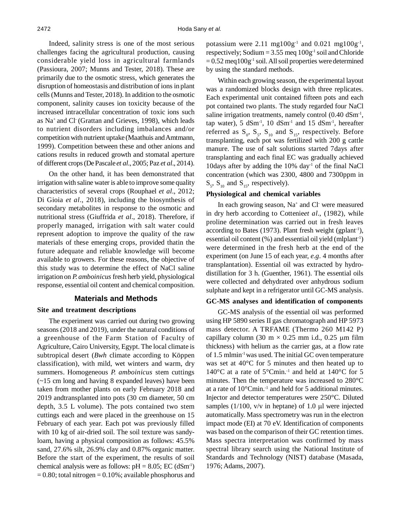Indeed, salinity stress is one of the most serious challenges facing the agricultural production, causing considerable yield loss in agricultural farmlands (Passioura, 2007; Munns and Tester, 2018). These are primarily due to the osmotic stress, which generates the disruption of homeostasis and distribution of ions in plant cells (Munns and Tester, 2018). In addition to the osmotic component, salinity causes ion toxicity because of the increased intracellular concentration of toxic ions such as Na<sup>+</sup>and Cl- (Grattan and Grieves, 1998), which leads to nutrient disorders including imbalances and/or competition with nutrient uptake (Maathuis and Amtmann, 1999). Competition between these and other anions and cations results in reduced growth and stomatal aperture of different crops (De Pascale *et al*., 2005; Paz *et al*., 2014).

On the other hand, it has been demonstrated that irrigation with saline water is able to improve some quality characteristics of several crops (Rouphael *et al*., 2012; Di Gioia *et al*., 2018), including the biosynthesis of secondary metabolites in response to the osmotic and nutritional stress (Giuffrida *et al*., 2018). Therefore, if properly managed, irrigation with salt water could represent adoption to improve the quality of the raw materials of these emerging crops, provided thatin the future adequate and reliable knowledge will become available to growers. For these reasons, the objective of this study was to determine the effect of NaCl saline irrigation on *P. amboinicus* fresh herb yield, physiological response, essential oil content and chemical composition.

## **Materials and Methods**

## **Site and treatment descriptions**

The experiment was carried out during two growing seasons (2018 and 2019), under the natural conditions of a greenhouse of the Farm Station of Faculty of Agriculture, Cairo University, Egypt. The local climate is subtropical desert (*Bwh* climate according to Köppen classification), with mild, wet winters and warm, dry summers. Homogeneous *P. amboinicus* stem cuttings (~15 cm long and having 8 expanded leaves) have been taken from mother plants on early February 2018 and 2019 andtransplanted into pots (30 cm diameter, 50 cm depth, 3.5 L volume). The pots contained two stem cuttings each and were placed in the greenhouse on 15 February of each year. Each pot was previously filled with 10 kg of air-dried soil. The soil texture was sandyloam, having a physical composition as follows: 45.5% sand, 27.6% silt, 26.9% clay and 0.87% organic matter. Before the start of the experiment, the results of soil chemical analysis were as follows:  $pH = 8.05$ ; EC (dSm<sup>-1</sup>)  $= 0.80$ ; total nitrogen  $= 0.10\%$ ; available phosphorus and

potassium were  $2.11 \text{ mg} 100 \text{g}^{-1}$  and  $0.021 \text{ mg} 100 \text{g}^{-1}$ , respectively; Sodium =  $3.55$  meq  $100g<sup>-1</sup>$  soil and Chloride  $= 0.52$  meq $100g^{-1}$  soil. All soil properties were determined by using the standard methods.

Within each growing season, the experimental layout was a randomized blocks design with three replicates. Each experimental unit contained fifteen pots and each pot contained two plants. The study regarded four NaCl saline irrigation treatments, namely control (0.40 dSm<sup>-1</sup>, tap water), 5  $dSm^{-1}$ , 10  $dSm^{-1}$  and 15  $dSm^{-1}$ , hereafter referred as  $S_0$ ,  $S_5$ ,  $S_{10}$  and  $S_{15}$ , respectively. Before transplanting, each pot was fertilized with 200 g cattle manure. The use of salt solutions started 7days after transplanting and each final EC was gradually achieved 10days after by adding the  $10\%$  day<sup>-1</sup> of the final NaCl concentration (which was 2300, 4800 and 7300ppm in  $S_5$ ,  $S_{10}$  and  $S_{15}$ , respectively).

# **Physiological and chemical variables**

In each growing season, Na<sup>+</sup> and Cl<sup>-</sup> were measured in dry herb according to Cottenie*et al*., (1982), while proline determination was carried out in fresh leaves according to Bates (1973). Plant fresh weight (gplant<sup>-1</sup>), essential oil content (%) and essential oil yield (mlplant-1) were determined in the fresh herb at the end of the experiment (on June 15 of each year, *e.g*. 4 months after transplantation). Essential oil was extracted by hydrodistillation for 3 h. (Guenther, 1961). The essential oils were collected and dehydrated over anhydrous sodium sulphate and kept in a refrigerator until GC-MS analysis.

#### **GC-MS analyses and identification of components**

GC-MS analysis of the essential oil was performed using HP 5890 series II gas chromatograph and HP 5973 mass detector. A TRFAME (Thermo 260 M142 P) capillary column (30 m  $\times$  0.25 mm i.d., 0.25 µm film thickness) with helium as the carrier gas, at a flow rate of 1.5 mlmin-1 was used. The initial GC oven temperature was set at 40°C for 5 minutes and then heated up to 140 $\rm ^{\circ}C$  at a rate of 5 $\rm ^{\circ}C$ min.<sup>-1</sup> and held at 140 $\rm ^{\circ}C$  for 5 minutes. Then the temperature was increased to 280°C at a rate of 10°Cmin.-1 and held for 5 additional minutes. Injector and detector temperatures were 250°C. Diluted samples ( $1/100$ ,  $v/v$  in heptane) of 1.0 µl were injected automatically. Mass spectrometry was run in the electron impact mode (EI) at 70 eV. Identification of components was based on the comparison of their GC retention times. Mass spectra interpretation was confirmed by mass spectral library search using the National Institute of Standards and Technology (NIST) database (Masada, 1976; Adams, 2007).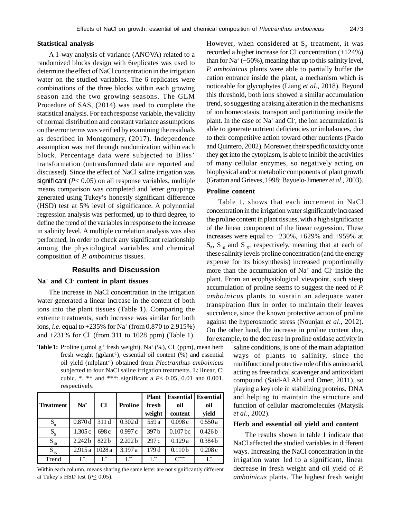## **Statistical analysis**

A 1-way analysis of variance (ANOVA) related to a randomized blocks design with 6replicates was used to determine the effect of NaCl concentration in the irrigation water on the studied variables. The 6 replicates were combinations of the three blocks within each growing season and the two growing seasons. The GLM Procedure of SAS, (2014) was used to complete the statistical analysis. For each response variable, the validity of normal distribution and constant variance assumptions on the error terms was verified by examining the residuals as described in Montgomery, (2017). Independence assumption was met through randomization within each block. Percentage data were subjected to Bliss' transformation (untransformed data are reported and discussed). Since the effect of NaCl saline irrigation was significant (*P*< 0.05) on all response variables, multiple means comparison was completed and letter groupings generated using Tukey's honestly significant difference (HSD) test at 5% level of significance. A polynomial regression analysis was performed, up to third degree, to define the trend of the variables in response to the increase in salinity level. A multiple correlation analysis was also performed, in order to check any significant relationship among the physiological variables and chemical composition of *P. amboinicus* tissues.

# **Results and Discussion**

### **Na<sup>+</sup> and CI- content in plant tissues**

The increase in NaCl concentration in the irrigation water generated a linear increase in the content of both ions into the plant tissues (Table 1). Comparing the extreme treatments, such increase was similar for both ions, *i.e.* equal to +235% for Na<sup>+</sup> (from 0.870 to 2.915%) and +231% for Cl- (from 311 to 1028 ppm) (Table 1).

**Table 1:** Proline ( $\mu$ mol  $g^{-1}$  fresh weight), Na<sup>+</sup> (%), CI ( $ppm$ ), mean herb fresh weight (gplant<sup>-1</sup>), essential oil content  $(\%)$  and essential oil yield (mlplant-1) obtained from *Plectranthus amboinicus* subjected to four NaCl saline irrigation treatments. L: linear, C: cubic. \*, \*\* and \*\*\*: significant a *P*< 0.05, 0.01 and 0.001, respectively.

|                  |                    |                  |                    | <b>Plant</b>            |                    | <b>Essential   Essential</b> |
|------------------|--------------------|------------------|--------------------|-------------------------|--------------------|------------------------------|
| <b>Treatment</b> | $Na+$              | $Cl+$            | <b>Proline</b>     | fresh                   | oil                | oil                          |
|                  |                    |                  |                    | weight                  | content            | yield                        |
| $S_0$            | 0.870d             | 311 d            | 0.302 d            | 559 a                   | 0.098c             | 0.550a                       |
| $S_5$            | 1.305c             | 698 c            | 0.997c             | 397 b                   | $0.107$ bc         | 0.426 <sub>b</sub>           |
| $S_{10}$         | 2.242 <sub>b</sub> | 822 <sub>b</sub> | 2.202 <sub>b</sub> | 297 c                   | 0.129a             | 0.384 <sub>b</sub>           |
| $S_{15}$         | 2.915a             | 1028a            | 3.197 a            | 179 <sub>d</sub>        | 0.110 <sub>b</sub> | 0.208c                       |
| Trend            | $L^*$              | L,               | **                 | $\operatorname{L}^{**}$ | $\bigcap^{***}$    | $\mathsf{L}^*$               |

Within each column, means sharing the same letter are not significantly different at Tukey's HSD test  $(P \leq 0.05)$ .

However, when considered at  $S_5$  treatment, it was recorded a higher increase for Cl- concentration (+124%) than for  $Na^+$  (+50%), meaning that up to this salinity level, *P. amboinicus* plants were able to partially buffer the cation entrance inside the plant, a mechanism which is noticeable for glycophytes (Liang *et al*., 2018). Beyond this threshold, both ions showed a similar accumulation trend, so suggesting a raising alteration in the mechanisms of ion homeostasis, transport and partitioning inside the plant. In the case of Na<sup>+</sup> and Cl<sup>-</sup>, the ion accumulation is able to generate nutrient deficiencies or imbalances, due to their competitive action toward other nutrients (Pardo and Quintero, 2002). Moreover, their specific toxicity once they get into the cytoplasm, is able to inhibit the activities of many cellular enzymes, so negatively acting on biophysical and/or metabolic components of plant growth (Grattan and Grieves, 1998; Bayuelo-Jimenez *et al*., 2003).

## **Proline content**

Table 1, shows that each increment in NaCl concentration in the irrigation water significantly increased the proline content in plant tissues, with a high significance of the linear component of the linear regression. These increases were equal to +230%, +629% and +959% at  $S_5$ ,  $S_{10}$  and  $S_{15}$ , respectively, meaning that at each of these salinity levels proline concentration (and the energy expense for its biosynthesis) increased proportionally more than the accumulation of Na<sup>+</sup> and Cl inside the plant. From an ecophysiological viewpoint, such steep accumulation of proline seems to suggest the need of *P. amboinicus* plants to sustain an adequate water transpiration flux in order to maintain their leaves succulence, since the known protective action of proline against the hyperosmotic stress (Nounjan *et al*., 2012). On the other hand, the increase in proline content due, for example, to the decrease in proline oxidase activity in

> saline conditions, is one of the main adaptation ways of plants to salinity, since the multifunctional protective role of this amino acid, acting as free radical scavenger and antioxidant compound (Said-Al Ahl and Omer, 2011), so playing a key role in stabilizing proteins, DNA and helping to maintain the structure and function of cellular macromolecules (Matysik *et al*., 2002).

#### **Herb and essential oil yield and content**

The results shown in table 1 indicate that NaCl affected the studied variables in different ways. Increasing the NaCl concentration in the irrigation water led to a significant, linear decrease in fresh weight and oil yield of *P. amboinicus* plants. The highest fresh weight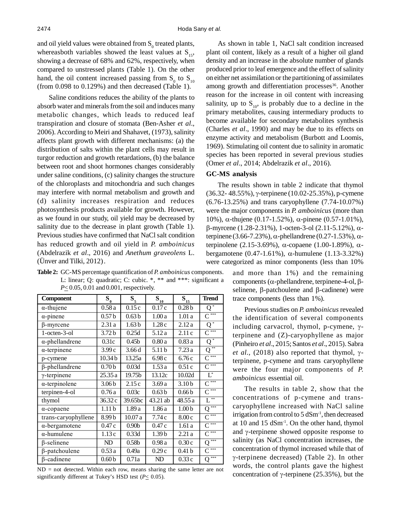and oil yield values were obtained from  $S_0$  treated plants, whereasboth variables showed the least values at  $S_{15}$ , showing a decrease of 68% and 62%, respectively, when compared to unstressed plants (Table 1). On the other hand, the oil content increased passing from  $S_0$  to  $S_{10}$ (from 0.098 to 0.129%) and then decreased (Table 1).

Saline conditions reduces the ability of the plants to absorb water and minerals from the soil and induces many metabolic changes, which leads to reduced leaf transpiration and closure of stomata (Ben-Asher *et al*., 2006). According to Meiri and Shahavet, (1973), salinity affects plant growth with different mechanisms: (a) the distribution of salts within the plant cells may result in turgor reduction and growth retardations, (b) the balance between root and shoot hormones changes considerably under saline conditions, (c) salinity changes the structure of the chloroplasts and mitochondria and such changes may interfere with normal metabolism and growth and (d) salinity increases respiration and reduces photosynthesis products available for growth. However, as we found in our study, oil yield may be decreased by salinity due to the decrease in plant growth (Table 1). Previous studies have confirmed that NaCl salt condition has reduced growth and oil yield in *P. amboinicus* (Abdelrazik *et al*., 2016) and *Anethum graveolens* L. (Ünver and Tilki, 2012).

**Table 2:** GC-MS percentage quantification of *P. amboinicus* components. L: linear; Q: quadratic; C: cubic. \*, \*\* and \*\*\*: significant a *P* $\leq$  0.05, 0.01 and 0.001, respectively.

| Component              | $S_{0}$            | $S_5$             | $\bar{\mathbf{S}}_{10}$ | $\mathbf{S}_{15}$ | <b>Trend</b>         |
|------------------------|--------------------|-------------------|-------------------------|-------------------|----------------------|
| $\alpha$ -thujene      | $0.58\,\mathrm{a}$ | 0.15c             | 0.17c                   | 0.28 <sub>b</sub> | Q                    |
| $\alpha$ -pinene       | 0.57 <sub>b</sub>  | 0.63 <sub>b</sub> | 1.00a                   | 1.01a             | $\overline{C}$ ***   |
| $\beta$ -myrcene       | 2.31a              | 1.63 <sub>b</sub> | 1.28c                   | 2.12a             | $\overline{Q^*}$     |
| 1-octen-3-ol           | 3.72 <sub>b</sub>  | 0.25d             | 5.12a                   | 2.11c             | $\overline{C}^{***}$ |
| $\alpha$ -phellandrene | 0.31c              | 0.45 <sub>b</sub> | 0.80a                   | 0.83a             | $\bar{Q^*}$          |
| $\alpha$ -terpinene    | 3.99c              | 3.66d             | 5.11 <sub>b</sub>       | 7.23a             | **<br>Q              |
| p-cymene               | 10.34 <sub>b</sub> | 13.25a            | 6.98c                   | 6.76c             | $\overline{C}$ ***   |
| $\beta$ -phellandrene  | 0.70 <sub>b</sub>  | 0.03d             | 1.53a                   | 0.51c             | $\overline{C^{***}}$ |
| $\gamma$ -terpinene    | 25.35 a            | 19.75b            | 13.12c                  | 10.02d            | $L^*$                |
| $\alpha$ -terpinolene  | 3.06 <sub>b</sub>  | 2.15c             | 3.69a                   | 3.10 <sub>b</sub> | $C^{\overline{***}}$ |
| terpinen-4-ol          | 0.76a              | 0.03c             | 0.63 <sub>b</sub>       | 0.66 <sub>b</sub> | $\overline{C}$ ***   |
| thymol                 | 36.32 c            | 39.65bc           | 43.21 ab                | 48.55 a           | **<br>L              |
| $\alpha$ -copaene      | 1.11 <sub>b</sub>  | 1.89 a            | 1.86 a                  | 1.00 <sub>b</sub> | ***<br>о             |
| trans-caryophyllene    | 8.99b              | 10.07a            | 7.74c                   | 8.00c             | $\overline{C^{***}}$ |
| $\alpha$ -bergamotene  | 0.47c              | 0.90 <sub>b</sub> | 0.47c                   | 1.61a             | $\overline{C}$ ***   |
| $\alpha$ -humulene     | 1.13c              | 0.33d             | 1.39 <sub>b</sub>       | 2.21a             | $\overline{C}^{***}$ |
| $\beta$ -selinene      | ND                 | 0.58 <sub>b</sub> | 0.98a                   | 0.30c             | ***<br>О             |
| $\beta$ -patchoulene   | 0.53a              | 0.49a             | 0.29c                   | 0.41 <sub>b</sub> | $\overline{C}$ ***   |
| $\beta$ -cadinene      | 0.60 <sub>b</sub>  | 0.71a             | ND                      | 0.33c             | ***<br>Q             |

 $ND = not detected.$  Within each row, means sharing the same letter are not significantly different at Tukey's HSD test ( $P \leq 0.05$ ).

As shown in table 1, NaCl salt condition increased plant oil content, likely as a result of a higher oil gland density and an increase in the absolute number of glands produced prior to leaf emergence and the effect of salinity on either net assimilation or the partitioning of assimilates among growth and differentiation processes<sup>36</sup>. Another reason for the increase in oil content with increasing salinity, up to  $S_{10}$ , is probably due to a decline in the primary metabolites, causing intermediary products to become available for secondary metabolites synthesis (Charles *et al*., 1990) and may be due to its effects on enzyme activity and metabolism (Burbott and Loomis, 1969). Stimulating oil content due to salinity in aromatic species has been reported in several previous studies (Omer *et al*., 2014; Abdelrazik *et al*., 2016).

## **GC-MS analysis**

The results shown in table 2 indicate that thymol  $(36.32 - 48.55\%)$ ,  $\gamma$ -terpinene  $(10.02 - 25.35\%)$ , p-cymene (6.76-13.25%) and trans caryophyllene (7.74-10.07%) were the major components in *P. amboinicus* (more than 10%), α-thujene (0.17-1.52%), α-pinene (0.57-1.01%),  $\beta$ -myrcene (1.28-2.31%), 1-octen-3-ol (2.11-5.12%),  $\alpha$ terpinene (3.66-7.23%),  $\alpha$ -phellandrene (0.27-1.53%),  $\alpha$ terpinolene (2.15-3.69%),  $\alpha$ -copaene (1.00-1.89%),  $\alpha$ bergamotene  $(0.47-1.61\%)$ ,  $\alpha$ -humulene  $(1.13-3.32\%)$ were categorized as minor components (less than 10%

> and more than 1%) and the remaining components ( $\alpha$ -phellandrene, terpinene-4-ol,  $\beta$ selinene,  $\beta$ -patchoulene and  $\beta$ -cadinene) were trace components (less than 1%).

Previous studies on *P. amboinicus* revealed the identification of several components including carvacrol, thymol, p-cymene,  $\gamma$ terpinene and (Z)-caryophyllene as major (Pinheiro *et al*., 2015;Santos *et al*., 2015). Sabra *et al.,* (2018) also reported that thymol,  $\gamma$ terpinene, p-cymene and trans caryophyllene were the four major components of *P. amboinicus* essential oil.

The results in table 2, show that the concentrations of p-cymene and transcaryophyllene increased with NaCl saline irrigation from control to  $5 dSm<sup>-1</sup>$ , then decreased at 10 and 15 dSm-1. On the other hand, thymol and  $\gamma$ -terpinene showed opposite response to salinity (as NaCl concentration increases, the concentration of thymol increased while that of  $\gamma$ -terpinene decreased) (Table 2). In other words, the control plants gave the highest concentration of  $\gamma$ -terpinene (25.35%), but the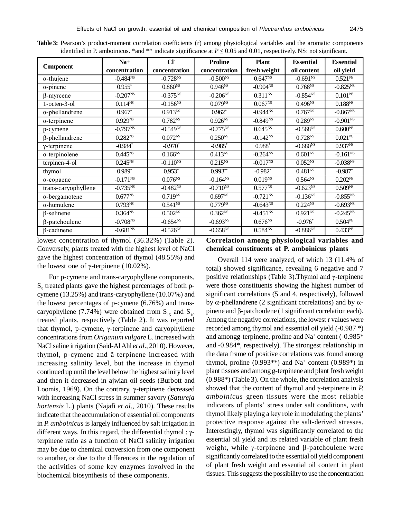| <b>Component</b>       | $Na+$                   | Cl <sub>1</sub> | <b>Proline</b>           | <b>Plant</b>             | <b>Essential</b>         | <b>Essential</b>         |
|------------------------|-------------------------|-----------------|--------------------------|--------------------------|--------------------------|--------------------------|
|                        | concentration           | concentration   | concentration            | fresh weight             | oil content              | oil yield                |
| $\alpha$ -thujene      | $-0.484^{NS}$           | $-0.728^{N}$    | $-0.500^{N_{s}}$         | $0.647^{NS}$             | $-0.691^{NS}$            | $0.521^{NS}$             |
| $\alpha$ -pinene       | $0.955*$                | $0.860^{NS}$    | $0.946^{NS}$             | $-0.904^{N\overline{S}}$ | $0.768^{NS}$             | $-0.825^{N\overline{S}}$ |
| $\beta$ -myrcene       | $-0.207^{NS}$           | $-0.375^{NS}$   | $-0.206^{NS}$            | $0.311^{NS}$             | $-0.854^{NS}$            | $0.101^{NS}$             |
| 1-octen-3-ol           | $0.114^{NS}$            | $-0.156^{NS}$   | $0.079^{NS}$             | $0.067^{NS}$             | $0.496^{NS}$             | $0.188^{NS}$             |
| $\alpha$ -phellandrene | $0.967*$                | $0.913^{NS}$    | $0.962*$                 | $-0.944^{NS}$            | $0.767^{NS}$             | $-0.867^{NS}$            |
| $\alpha$ -terpinene    | $0.929^{NS}$            | $0.782^{NS}$    | $0.926^{NS}$             | $-0.849^{NS}$            | $0.289^{NS}$             | $-0.901^{NS}$            |
| p-cymene               | $-0.797^{NS}$           | $-0.549^{N}$    | $-0.775^{NS}$            | $0.645^{NS}$             | $-0.568^{N\overline{S}}$ | $0.600^{NS}$             |
| $\beta$ -phellandrene  | $0.282^{N\overline{S}}$ | $0.072^{NS}$    | $0.250^{NS}$             | $-0.142^{NS}$            | $0.728^{NS}$             | $0.021^{NS}$             |
| $\gamma$ -terpinene    | $-0.984*$               | $-0.970*$       | $-0.985*$                | $0.988*$                 | $-0.680^{NS}$            | 0.937 <sup>NS</sup>      |
| $\alpha$ -terpinolene  | $0.445^{N}$             | $0.166^{NS}$    | $0.413^{NS}$             | $-0.264^{NS}$            | $0.601^{NS}$             | $-0.161^{NS}$            |
| terpinen-4-ol          | $0.245^{NS}$            | $-0.110^{NS}$   | $0.215^{NS}$             | $-0.017^{NS}$            | $0.052^{NS}$             | $-0.038^{NS}$            |
| thymol                 | $0.989*$                | $0.953*$        | $0.993**$                | $-0.982*$                | 0.481 <sup>NS</sup>      | $-0.987$ *               |
| $\alpha$ -copaene      | $-0.171$ <sup>NS</sup>  | $0.076^{NS}$    | $-0.164^{N\overline{S}}$ | $0.019^{NS}$             | $0.564^{NS}$             | $0.202^{NS}$             |
| trans-caryophyllene    | $-0.735^{NS}$           | $-0.482^{NS}$   | $-0.710^{NS}$            | $0.577^{NS}$             | $-0.623^{NS}$            | $0.509^{NS}$             |
| $\alpha$ -bergamotene  | $0.677^{NS}$            | $0.719^{NS}$    | 0.697 <sup>NS</sup>      | $-0.721^{NS}$            | $-0.136NS$               | $-0.855^{N}$             |
| $\alpha$ -humulene     | $0.793^{NS}$            | $0.541^{NS}$    | $0.779^{NS}$             | $-0.643^{NS}$            | $0.224^{N}$              | $-0.693^{NS}$            |
| $\beta$ -selinene      | $0.364^{NS}$            | $0.502^{NS}$    | $0.362^{NS}$             | $-0.451^{NS}$            | $0.921^{NS}$             | $-0.245^{NS}$            |
| $\beta$ -patchoulene   | $-0.708^{NS}$           | $-0.654^{NS}$   | $-0.693^{N}$             | $0.676^{NS}$             | $-0.976*$                | $0.504^{NS}$             |
| $\beta$ -cadinene      | $-0.681^{NS}$           | $-0.526^{N}$    | $-0.658^{NS}$            | $0.584^{N}$              | $-0.886^{N\overline{S}}$ | 0.433 <sup>NS</sup>      |

**Table 3:** Pearson's product-moment correlation coefficients (r) among physiological variables and the aromatic components identified in P. amboinicus. \*and \*\* indicate significance at  $P \le 0.05$  and 0.01, respectively. NS: not significant.

lowest concentration of thymol (36.32%) (Table 2). Conversely, plants treated with the highest level of NaCl gave the highest concentration of thymol (48.55%) and the lowest one of  $\gamma$ -terpinene (10.02%).

For p-cymene and trans-caryophyllene components, S<sub>5</sub> treated plants gave the highest percentages of both pcymene (13.25%) and trans-caryophyllene (10.07%) and the lowest percentages of p-cymene (6.76%) and transcaryophyllene (7.74%) were obtained from  $S_{15}$  and  $S_{10}$ treated plants, respectively (Table 2). It was reported that thymol, p-cymene,  $\gamma$ -terpinene and caryophyllene concentrations from *Origanum vulgare* L. increased with NaCl saline irrigation (Said-Al Ahl *et al*., 2010). However, thymol, p-cymene and ã-terpinene increased with increasing salinity level, but the increase in thymol continued up until the level below the highest salinity level and then it decreased in ajwian oil seeds (Burbott and Loomis, 1969). On the contrary,  $\gamma$ -terpinene decreased with increasing NaCl stress in summer savory (*Satureja hortensis* L.) plants (Najafi *et al*., 2010). These results indicate that the accumulation of essential oil components in *P. amboinicus* is largely influenced by salt irrigation in different ways. In this regard, the differential thymol :  $\gamma$ terpinene ratio as a function of NaCl salinity irrigation may be due to chemical conversion from one component to another, or due to the differences in the regulation of the activities of some key enzymes involved in the biochemical biosynthesis of these components.

# **Correlation among physiological variables and chemical constituents of P. amboinicus plants**

Overall 114 were analyzed, of which 13 (11.4% of total) showed significance, revealing 6 negative and 7 positive relationships (Table 3). Thymol and  $\gamma$ -terpinene were those constituents showing the highest number of significant correlations (5 and 4, respectively), followed by  $\alpha$ -phellandrene (2 significant correlations) and by  $\alpha$ pinene and  $\beta$ -patchoulene (1 significant correlation each). Among the negative correlations, the lowest r values were recorded among thymol and essential oil yield (-0.987 \*) and amongg-terpinene, proline and Na<sup>+</sup> content (-0.985\* and -0.984\*, respectively). The strongest relationship in the data frame of positive correlations was found among thymol, proline  $(0.993**)$  and Na<sup>+</sup> content  $(0.989*)$  in plant tissues and among g-terpinene and plant fresh weight (0.988\*) (Table 3). On the whole, the correlation analysis showed that the content of thymol and  $\gamma$ -terpinene in *P*. *amboinicus* green tissues were the most reliable indicators of plants' stress under salt conditions, with thymol likely playing a key role in modulating the plants' protective response against the salt-derived stresses. Interestingly, thymol was significantly correlated to the essential oil yield and its related variable of plant fresh weight, while  $\gamma$ -terpinene and  $\beta$ -patchoulene were significantly correlated to the essential oil yield component of plant fresh weight and essential oil content in plant tissues. This suggests the possibility to use the concentration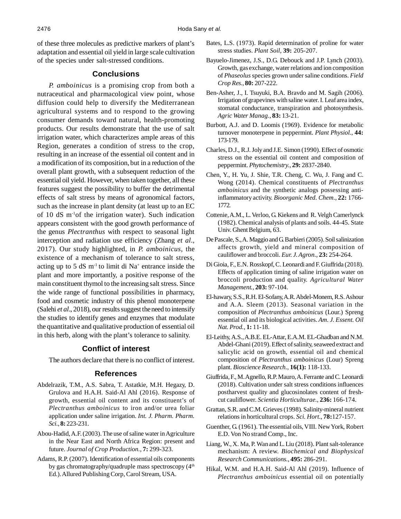of these three molecules as predictive markers of plant's adaptation and essential oil yield in large scale cultivation of the species under salt-stressed conditions.

## **Conclusions**

*P. amboinicus* is a promising crop from both a nutraceutical and pharmacological view point, whose diffusion could help to diversify the Mediterranean agricultural systems and to respond to the growing consumer demands toward natural, health-promoting products. Our results demonstrate that the use of salt irrigation water, which characterizes ample areas of this Region, generates a condition of stress to the crop, resulting in an increase of the essential oil content and in a modification of its composition, but in a reduction of the overall plant growth, with a subsequent reduction of the essential oil yield. However, when taken together, all these features suggest the possibility to buffer the detrimental effects of salt stress by means of agronomical factors, such as the increase in plant density (at least up to an EC of 10 dS m-1of the irrigation water). Such indication appears consistent with the good growth performance of the genus *Plectranthus* with respect to seasonal light interception and radiation use efficiency (Zhang *et al*., 2017). Our study highlighted, in *P. amboinicus*, the existence of a mechanism of tolerance to salt stress, acting up to 5  $dS$  m<sup>-1</sup> to limit di Na<sup>+</sup> entrance inside the plant and more importantly, a positive response of the main constituent thymol to the increasing salt stress. Since the wide range of functional possibilities in pharmacy, food and cosmetic industry of this phenol monoterpene (Salehi *et al*., 2018), our results suggest the need to intensify the studies to identify genes and enzymes that modulate the quantitative and qualitative production of essential oil in this herb, along with the plant's tolerance to salinity.

## **Conflict of interest**

The authors declare that there is no conflict of interest.

#### **References**

- Abdelrazik, T.M., A.S. Sabra, T. Astatkie, M.H. Hegazy, D. Grulova and H.A.H. Said-Al Ahl (2016). Response of growth, essential oil content and its constituent's of *Plectranthus amboinicus* to iron and/or urea foliar application under saline irrigation. *Int. J. Pharm. Pharm. Sci.*, **8:** 223-231.
- Abou-Hadid, A.F. (2003). The use of saline water in Agriculture in the Near East and North Africa Region: present and future. *Journal of Crop Production.*, **7:** 299-323.
- Adams, R.P. (2007). Identification of essential oils components by gas chromatography/quadruple mass spectroscopy  $(4<sup>th</sup>$ Ed.). Allured Publishing Corp, Carol Stream, USA.
- Bates, L.S. (1973). Rapid determination of proline for water stress studies. *Plant Soil*, **39:** 205-207.
- Bayuelo-Jimenez, J.S., D.G. Debouck and J.P. Lynch (2003). Growth, gas exchange, water relations and ion composition of *Phaseolus* species grown under saline conditions. *Field Crop Res.*, **80:** 207-222.
- Ben-Asher, J., I. Tsuyuki, B.A. Bravdo and M. Sagih (2006). Irrigation of grapevines with saline water. I. Leaf area index, stomatal conductance, transpiration and photosynthesis. *Agric Water Manag.*, **83:** 13-21.
- Burbott, A.J. and D. Loomis (1969). Evidence for metabolic turnover monoterpene in peppermint. *Plant Physiol.*, **44:** 173-179.
- Charles, D.J., R.J. Joly and J.E. Simon (1990). Effect of osmotic stress on the essential oil content and composition of peppermint. *Phytochemistry.*, **29:** 2837-2840.
- Chen, Y., H. Yu, J. Shie, T.R. Cheng, C. Wu, J. Fang and C. Wong (2014). Chemical constituents of *Plectranthus amboinicus* and the synthetic analogs possessing antiinflammatory activity. *Bioorganic Med. Chem.*, **22:** 1766- 1772.
- Cottenie, A.M., L. Verloo, G. Kiekens and R. Velgh Camerlynck (1982). Chemical analysis of plants and soils. 44-45. State Univ. Ghent Belgium, 63.
- De Pascale, S., A. Maggio and G. Barbieri (2005). Soil salinization affects growth, yield and mineral composition of cauliflower and broccoli. *Eur. J. Agron.*, **23:** 254-264.
- Di Gioia, F., E.N. Rosskopf, C. Leonardi and F. Giuffrida (2018). Effects of application timing of saline irrigation water on broccoli production and quality. *Agricultural Water Management.,* **203:** 97-104.
- El-hawary, S.S., R.H. El-Sofany, A.R. Abdel-Monem, R.S. Ashour and A.A. Sleem (2013). Seasonal variation in the composition of *Plectranthus amboinicus* (Lour.) Spreng essential oil and its biological activities. *Am. J. Essent. Oil Nat. Prod.*, **1:** 11-18.
- El-Leithy, A.S., A.B.E. EL-Attar, E.A.M. EL-Ghadban and N.M. Abdel-Ghani (2019). Effect of salinity, seaweed extract and salicylic acid on growth, essential oil and chemical composition of *Plectranthus amboinicus* (Lour) Spreng plant. *Bioscience Research.*, **16(1):** 118-133.
- Giuffrida, F., M. Agnello, R.P. Mauro, A. Ferrante and C. Leonardi (2018). Cultivation under salt stress conditions influences postharvest quality and glucosinolates content of freshcut cauliflower. *Scientia Horticulturae.*, **236:** 166-174.
- Grattan, S.R. and C.M. Grieves (1998). Salinity-mineral nutrient relations in horticultural crops. *Sci. Hort*., **78:**127-157.
- Guenther, G. (1961). The essential oils, VIII. New York, Robert E.D. Von No strand Comp., Inc.
- Liang, W., X. Ma, P. Wan and L. Liu (2018). Plant salt-tolerance mechanism: A review. *Biochemical and Biophysical Research Communications.*, **495:** 286-291.
- Hikal, W.M. and H.A.H. Said-Al Ahl (2019). Influence of *Plectranthus amboinicus* essential oil on potentially